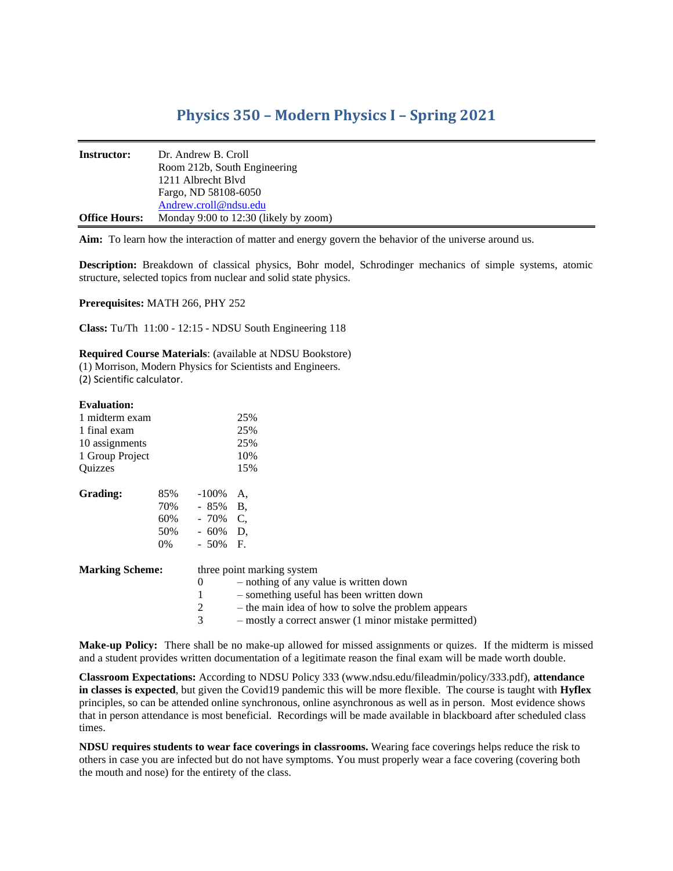## **Physics 350 – Modern Physics I – Spring 2021**

| <b>Instructor:</b>   | Dr. Andrew B. Croll                   |
|----------------------|---------------------------------------|
|                      | Room 212b, South Engineering          |
|                      | 1211 Albrecht Blyd                    |
|                      | Fargo, ND 58108-6050                  |
|                      | Andrew.croll@ndsu.edu                 |
| <b>Office Hours:</b> | Monday 9:00 to 12:30 (likely by zoom) |

**Aim:** To learn how the interaction of matter and energy govern the behavior of the universe around us.

**Description:** Breakdown of classical physics, Bohr model, Schrodinger mechanics of simple systems, atomic structure, selected topics from nuclear and solid state physics.

**Prerequisites:** MATH 266, PHY 252

**Class:** Tu/Th 11:00 - 12:15 - NDSU South Engineering 118

**Required Course Materials**: (available at NDSU Bookstore)

(1) Morrison, Modern Physics for Scientists and Engineers.

(2) Scientific calculator.

## **Evaluation:**

| 1 midterm exam<br>1 final exam<br>10 assignments<br>1 Group Project |                                |                                                          | 25%<br>25%<br>25%<br>10%                                                                                                                                                                                                         |  |  |
|---------------------------------------------------------------------|--------------------------------|----------------------------------------------------------|----------------------------------------------------------------------------------------------------------------------------------------------------------------------------------------------------------------------------------|--|--|
| Ouizzes                                                             |                                |                                                          | 15%                                                                                                                                                                                                                              |  |  |
| Grading:                                                            | 85%<br>70%<br>60%<br>50%<br>0% | -100%<br>$-85\%$ B.<br>$-70\%$ C,<br>- 60%<br>$-50\%$ F. | A,<br>D.                                                                                                                                                                                                                         |  |  |
| <b>Marking Scheme:</b>                                              |                                | 0<br>2<br>3                                              | three point marking system<br>- nothing of any value is written down<br>- something useful has been written down<br>- the main idea of how to solve the problem appears<br>- mostly a correct answer (1 minor mistake permitted) |  |  |

**Make-up Policy:** There shall be no make-up allowed for missed assignments or quizes. If the midterm is missed and a student provides written documentation of a legitimate reason the final exam will be made worth double.

**Classroom Expectations:** According to NDSU Policy 333 (www.ndsu.edu/fileadmin/policy/333.pdf), **attendance in classes is expected**, but given the Covid19 pandemic this will be more flexible. The course is taught with **Hyflex**  principles, so can be attended online synchronous, online asynchronous as well as in person. Most evidence shows that in person attendance is most beneficial. Recordings will be made available in blackboard after scheduled class times.

**NDSU requires students to wear face coverings in classrooms.** Wearing face coverings helps reduce the risk to others in case you are infected but do not have symptoms. You must properly wear a face covering (covering both the mouth and nose) for the entirety of the class.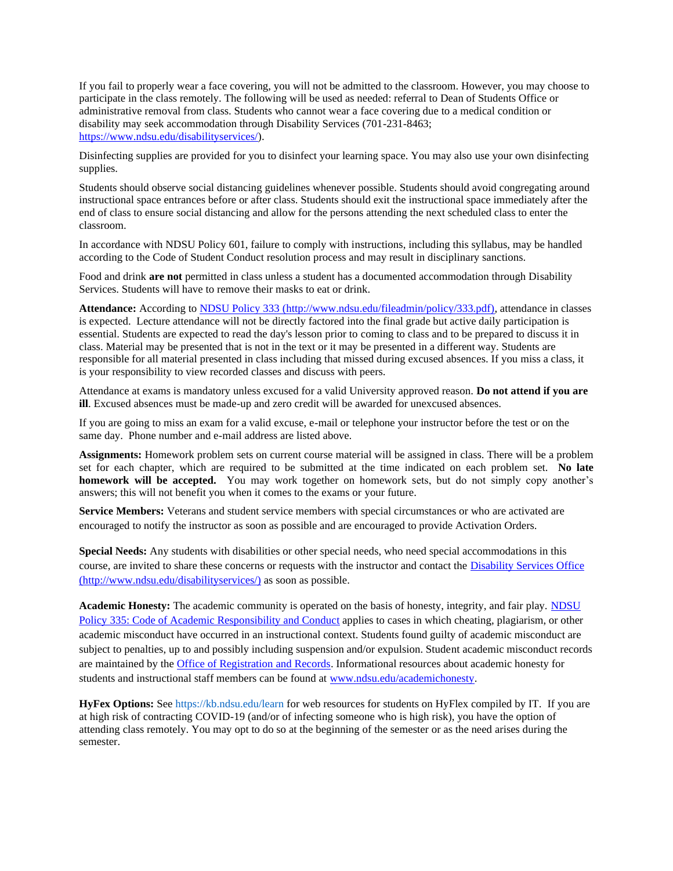If you fail to properly wear a face covering, you will not be admitted to the classroom. However, you may choose to participate in the class remotely. The following will be used as needed: referral to Dean of Students Office or administrative removal from class. Students who cannot wear a face covering due to a medical condition or disability may seek accommodation through Disability Services (701-231-8463; [https://www.ndsu.edu/disabilityservices/\)](https://www.ndsu.edu/disabilityservices/).

Disinfecting supplies are provided for you to disinfect your learning space. You may also use your own disinfecting supplies.

Students should observe social distancing guidelines whenever possible. Students should avoid congregating around instructional space entrances before or after class. Students should exit the instructional space immediately after the end of class to ensure social distancing and allow for the persons attending the next scheduled class to enter the classroom.

In accordance with NDSU Policy 601, failure to comply with instructions, including this syllabus, may be handled according to the Code of Student Conduct resolution process and may result in disciplinary sanctions.

Food and drink **are not** permitted in class unless a student has a documented accommodation through Disability Services. Students will have to remove their masks to eat or drink.

**Attendance:** According t[o NDSU Policy 333](http://www.ndsu.edu/fileadmin/policy/333.pdf) (http://www.ndsu.edu/fileadmin/policy/333.pdf), attendance in classes is expected. Lecture attendance will not be directly factored into the final grade but active daily participation is essential. Students are expected to read the day's lesson prior to coming to class and to be prepared to discuss it in class. Material may be presented that is not in the text or it may be presented in a different way. Students are responsible for all material presented in class including that missed during excused absences. If you miss a class, it is your responsibility to view recorded classes and discuss with peers.

Attendance at exams is mandatory unless excused for a valid University approved reason. **Do not attend if you are ill**. Excused absences must be made-up and zero credit will be awarded for unexcused absences.

If you are going to miss an exam for a valid excuse, e-mail or telephone your instructor before the test or on the same day. Phone number and e-mail address are listed above.

**Assignments:** Homework problem sets on current course material will be assigned in class. There will be a problem set for each chapter, which are required to be submitted at the time indicated on each problem set. **No late homework will be accepted.** You may work together on homework sets, but do not simply copy another's answers; this will not benefit you when it comes to the exams or your future.

**Service Members:** Veterans and student service members with special circumstances or who are activated are encouraged to notify the instructor as soon as possible and are encouraged to provide Activation Orders.

**Special Needs:** Any students with disabilities or other special needs, who need special accommodations in this course, are invited to share these concerns or requests with the instructor and contact the [Disability Services Office](http://www.ndsu.edu/disabilityservices/) (http://www.ndsu.edu/disabilityservices/) as soon as possible.

**Academic Honesty:** The academic community is operated on the basis of honesty, integrity, and fair play. [NDSU](http://www.ndsu.edu/fileadmin/policy/335.pdf)  [Policy 335: Code of Academic Responsibility and Conduct](http://www.ndsu.edu/fileadmin/policy/335.pdf) applies to cases in which cheating, plagiarism, or other academic misconduct have occurred in an instructional context. Students found guilty of academic misconduct are subject to penalties, up to and possibly including suspension and/or expulsion. Student academic misconduct records are maintained by the [Office of Registration and Records.](http://www.ndsu.edu/registrar/) Informational resources about academic honesty for students and instructional staff members can be found at [www.ndsu.edu/academichonesty.](http://www.ndsu.edu/academichonesty)

**HyFex Options:** See https://kb.ndsu.edu/learn for web resources for students on HyFlex compiled by IT. If you are at high risk of contracting COVID-19 (and/or of infecting someone who is high risk), you have the option of attending class remotely. You may opt to do so at the beginning of the semester or as the need arises during the semester.